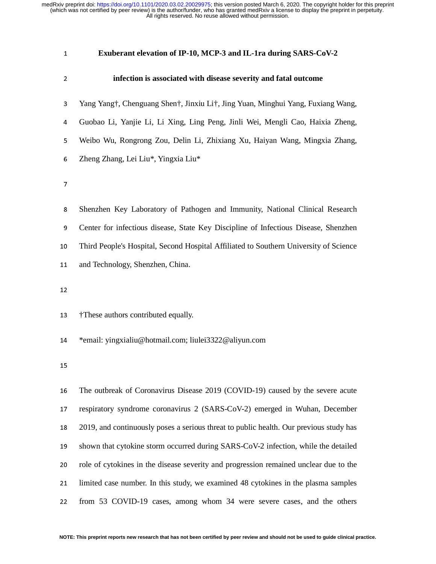#### **Exuberant elevation of IP-10, MCP-3 and IL-1ra during SARS-CoV-2**

#### **infection is associated with disease severity and fatal outcome**

- Yang Yang†, Chenguang Shen†, Jinxiu Li†, Jing Yuan, Minghui Yang, Fuxiang Wang,
- Guobao Li, Yanjie Li, Li Xing, Ling Peng, Jinli Wei, Mengli Cao, Haixia Zheng,
- Weibo Wu, Rongrong Zou, Delin Li, Zhixiang Xu, Haiyan Wang, Mingxia Zhang,
- Zheng Zhang, Lei Liu\*, Yingxia Liu\*
- $\overline{7}$
- Shenzhen Key Laboratory of Pathogen and Immunity, National Clinical Research Center for infectious disease, State Key Discipline of Infectious Disease, Shenzhen Third People's Hospital, Second Hospital Affiliated to Southern University of Science 11 and Technology, Shenzhen, China.
- 

†These authors contributed equally.

- \*email: yingxialiu@hotmail.com; liulei3322@aliyun.com
- 

The outbreak of Coronavirus Disease 2019 (COVID-19) caused by the severe acute 17 respiratory syndrome coronavirus 2 (SARS-CoV-2) emerged in Wuhan, December 2019, and continuously poses a serious threat to public health. Our previous study has shown that cytokine storm occurred during SARS-CoV-2 infection, while the detailed 20 role of cytokines in the disease severity and progression remained unclear due to the 21 limited case number. In this study, we examined 48 cytokines in the plasma samples 22 from 53 COVID-19 cases, among whom 34 were severe cases, and the others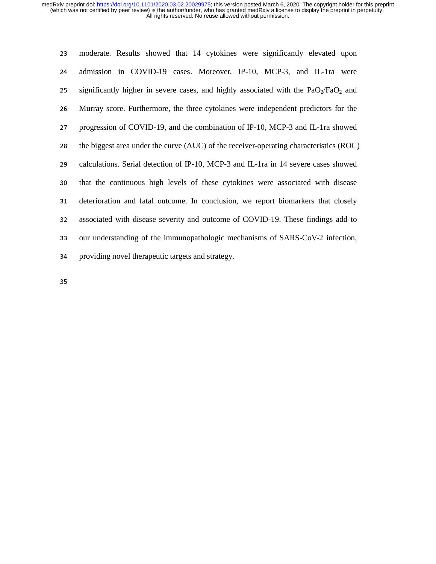| 23 | moderate. Results showed that 14 cytokines were significantly elevated upon            |
|----|----------------------------------------------------------------------------------------|
| 24 | admission in COVID-19 cases. Moreover, IP-10, MCP-3, and IL-1ra were                   |
| 25 | significantly higher in severe cases, and highly associated with the $PaO2/FaO2$ and   |
| 26 | Murray score. Furthermore, the three cytokines were independent predictors for the     |
| 27 | progression of COVID-19, and the combination of IP-10, MCP-3 and IL-1ra showed         |
| 28 | the biggest area under the curve (AUC) of the receiver-operating characteristics (ROC) |
| 29 | calculations. Serial detection of IP-10, MCP-3 and IL-1ra in 14 severe cases showed    |
| 30 | that the continuous high levels of these cytokines were associated with disease        |
| 31 | deterioration and fatal outcome. In conclusion, we report biomarkers that closely      |
| 32 | associated with disease severity and outcome of COVID-19. These findings add to        |
| 33 | our understanding of the immunopathologic mechanisms of SARS-CoV-2 infection,          |
| 34 | providing novel therapeutic targets and strategy.                                      |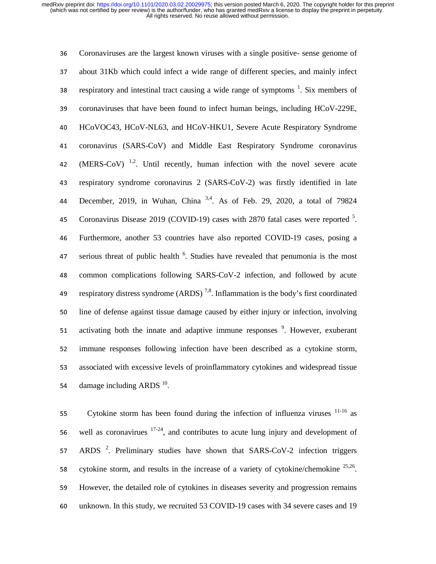<sup>36</sup>Coronaviruses are the largest known viruses with a single positive- sense genome of <sup>37</sup>about 31Kb which could infect a wide range of different species, and mainly infect respiratory and intestinal tract causing a wide range of symptoms  $\frac{1}{1}$ . Six members of 39 coronaviruses that have been found to infect human beings, including HCoV-229E, <sup>40</sup>HCoVOC43, HCoV-NL63, and HCoV-HKU1, Severe Acute Respiratory Syndrome 41 coronavirus (SARS-CoV) and Middle East Respiratory Syndrome coronavirus 42. (MERS-CoV)  $^{1,2}$ . Until recently, human infection with the novel severe acute 43 respiratory syndrome coronavirus 2 (SARS-CoV-2) was firstly identified in late 44 December, 2019, in Wuhan, China <sup>3,4</sup>. As of Feb. 29, 2020, a total of 79824 45 Coronavirus Disease 2019 (COVID-19) cases with 2870 fatal cases were reported <sup>5</sup>. <sup>46</sup>Furthermore, another 53 countries have also reported COVID-19 cases, posing a  $\frac{47}{47}$  serious threat of public health  $\frac{6}{5}$ . Studies have revealed that penumonia is the most 48 common complications following SARS-CoV-2 infection, and followed by acute 49 respiratory distress syndrome  $(ARDS)^{7,8}$ . Inflammation is the body's first coordinated 50 line of defense against tissue damage caused by either injury or infection, involving 51 activating both the innate and adaptive immune responses  $\frac{9}{2}$ . However, exuberant 52 immune responses following infection have been described as a cytokine storm, <sup>53</sup>associated with excessive levels of proinflammatory cytokines and widespread tissue 54 damage including ARDS  $^{10}$ .

55 Cytokine storm has been found during the infection of influenza viruses  $11-16$  as 56 well as coronavirues  $17-24$ , and contributes to acute lung injury and development of 57. ARDS  $2$ . Preliminary studies have shown that SARS-CoV-2 infection triggers 58 cytokine storm, and results in the increase of a variety of cytokine/chemokine  $^{25,26}$ . <sup>59</sup>However, the detailed role of cytokines in diseases severity and progression remains <sup>60</sup>unknown. In this study, we recruited 53 COVID-19 cases with 34 severe cases and 19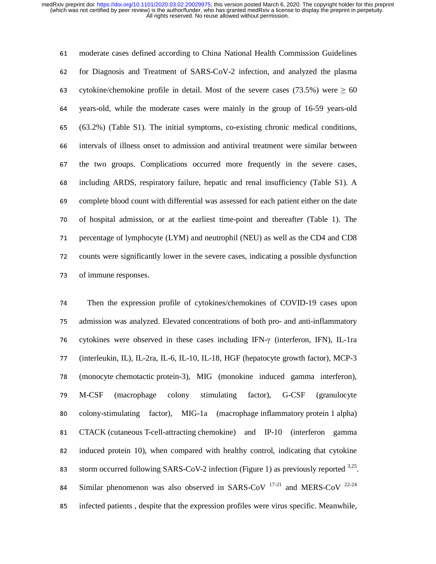<sup>61</sup>moderate cases defined according to China National Health Commission Guidelines <sup>62</sup>for Diagnosis and Treatment of SARS-CoV-2 infection, and analyzed the plasma 63 cytokine/chemokine profile in detail. Most of the severe cases (73.5%) were  $\geq 60$ 64 years-old, while the moderate cases were mainly in the group of 16-59 years-old <sup>65</sup>(63.2%) (Table S1). The initial symptoms, co-existing chronic medical conditions, <sup>66</sup>intervals of illness onset to admission and antiviral treatment were similar between 67 the two groups. Complications occurred more frequently in the severe cases, <sup>68</sup>including ARDS, respiratory failure, hepatic and renal insufficiency (Table S1). A <sup>69</sup>complete blood count with differential was assessed for each patient either on the date <sup>70</sup>of hospital admission, or at the earliest time-point and thereafter (Table 1). The 71 percentage of lymphocyte (LYM) and neutrophil (NEU) as well as the CD4 and CD8 72 counts were significantly lower in the severe cases, indicating a possible dysfunction 73 of immune responses.

<sup>74</sup>Then the expression profile of cytokines/chemokines of COVID-19 cases upon <sup>75</sup>admission was analyzed. Elevated concentrations of both pro- and anti-inflammatory 76 cytokines were observed in these cases including IFN-γ (interferon, IFN), IL-1ra <sup>77</sup>(interleukin, IL), IL-2ra, IL-6, IL-10, IL-18, HGF (hepatocyte growth factor), MCP-3 <sup>78</sup>(monocyte chemotactic protein-3), MIG (monokine induced gamma interferon), <sup>79</sup>M-CSF (macrophage colony stimulating factor), G-CSF (granulocyte 80 colony-stimulating factor), MIG-1a (macrophage inflammatory protein 1 alpha) <sup>81</sup>CTACK (cutaneous T-cell-attracting chemokine) and IP-10 (interferon gamma 82 induced protein 10), when compared with healthy control, indicating that cytokine storm occurred following SARS-CoV-2 infection (Figure 1) as previously reported  $3.25$ . 84 Similar phenomenon was also observed in SARS-CoV  $17-21$  and MERS-CoV  $22-24$ <sup>85</sup>infected patients , despite that the expression profiles were virus specific. Meanwhile,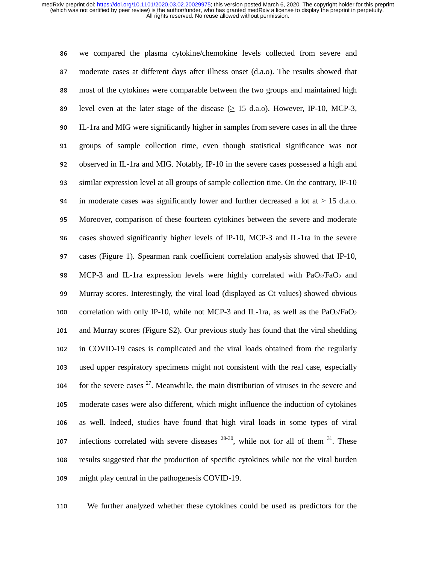<sup>86</sup>we compared the plasma cytokine/chemokine levels collected from severe and 87 moderate cases at different days after illness onset (d.a.o). The results showed that 88 most of the cytokines were comparable between the two groups and maintained high 89 level even at the later stage of the disease ( $\geq 15$  d.a.o). However, IP-10, MCP-3, <sup>90</sup>IL-1ra and MIG were significantly higher in samples from severe cases in all the three <sup>91</sup>groups of sample collection time, even though statistical significance was not 92 observed in IL-1ra and MIG. Notably, IP-10 in the severe cases possessed a high and <sup>93</sup>similar expression level at all groups of sample collection time. On the contrary, IP-10 94 in moderate cases was significantly lower and further decreased a lot at  $\geq$  15 d.a.o. <sup>95</sup>Moreover, comparison of these fourteen cytokines between the severe and moderate 96 cases showed significantly higher levels of IP-10, MCP-3 and IL-1ra in the severe 97 cases (Figure 1). Spearman rank coefficient correlation analysis showed that IP-10, 98 MCP-3 and IL-1ra expression levels were highly correlated with  $PaO<sub>2</sub>/FaO<sub>2</sub>$  and <sup>99</sup>Murray scores. Interestingly, the viral load (displayed as Ct values) showed obvious 100 correlation with only IP-10, while not MCP-3 and IL-1ra, as well as the PaO<sub>2</sub>/FaO<sub>2</sub> 101 and Murray scores (Figure S2). Our previous study has found that the viral shedding 102 in COVID-19 cases is complicated and the viral loads obtained from the regularly 103 used upper respiratory specimens might not consistent with the real case, especially 104 for the severe cases  $2^7$ . Meanwhile, the main distribution of viruses in the severe and <sup>105</sup>moderate cases were also different, which might influence the induction of cytokines 106 as well. Indeed, studies have found that high viral loads in some types of viral 107 infections correlated with severe diseases  $28-30$ , while not for all of them  $31$ . These 108 results suggested that the production of specific cytokines while not the viral burden 109 might play central in the pathogenesis COVID-19.

<sup>110</sup>We further analyzed whether these cytokines could be used as predictors for the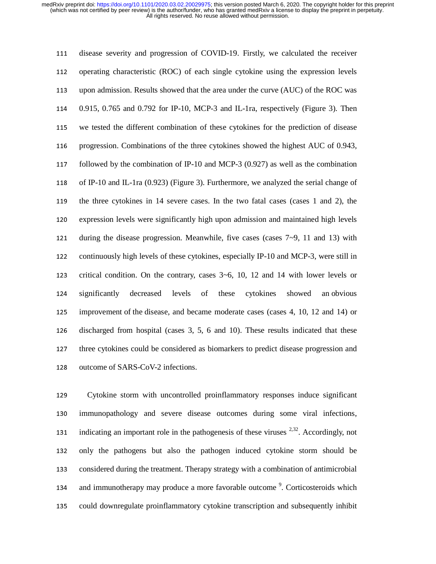111 disease severity and progression of COVID-19. Firstly, we calculated the receiver 112 operating characteristic (ROC) of each single cytokine using the expression levels 113 upon admission. Results showed that the area under the curve (AUC) of the ROC was <sup>114</sup>0.915, 0.765 and 0.792 for IP-10, MCP-3 and IL-1ra, respectively (Figure 3). Then <sup>115</sup>we tested the different combination of these cytokines for the prediction of disease 116 progression. Combinations of the three cytokines showed the highest AUC of 0.943, 117 followed by the combination of IP-10 and MCP-3  $(0.927)$  as well as the combination 118 of IP-10 and IL-1ra  $(0.923)$  (Figure 3). Furthermore, we analyzed the serial change of 119 the three cytokines in 14 severe cases. In the two fatal cases (cases 1 and 2), the 120 expression levels were significantly high upon admission and maintained high levels 121 during the disease progression. Meanwhile, five cases (cases  $7\neg 9$ , 11 and 13) with 122 continuously high levels of these cytokines, especially IP-10 and MCP-3, were still in 123 critical condition. On the contrary, cases  $3~6$ , 10, 12 and 14 with lower levels or 124 significantly decreased levels of these cytokines showed an obvious <sup>125</sup>improvement of the disease, and became moderate cases (cases 4, 10, 12 and 14) or 126 discharged from hospital (cases 3, 5, 6 and 10). These results indicated that these 127 three cytokines could be considered as biomarkers to predict disease progression and 128 outcome of SARS-CoV-2 infections.

<sup>129</sup>Cytokine storm with uncontrolled proinflammatory responses induce significant 130 immunopathology and severe disease outcomes during some viral infections, indicating an important role in the pathogenesis of these viruses  $2,32$ . Accordingly, not 132 only the pathogens but also the pathogen induced cytokine storm should be <sup>133</sup>considered during the treatment. Therapy strategy with a combination of antimicrobial and immunotherapy may produce a more favorable outcome<sup>9</sup>. Corticosteroids which <sup>135</sup>could downregulate proinflammatory cytokine transcription and subsequently inhibit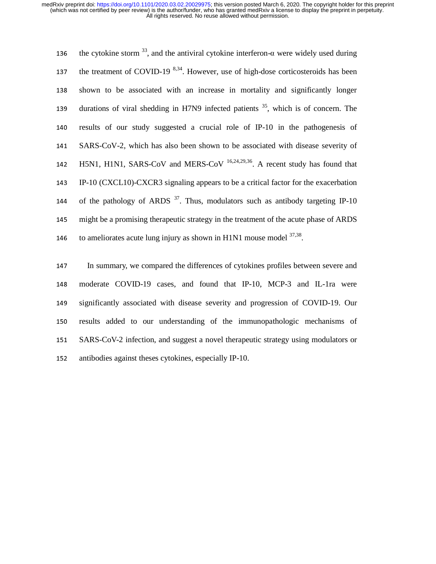the cytokine storm <sup>33</sup>, and the antiviral cytokine interferon-α were widely used during the treatment of COVID-19  $8,34$ . However, use of high-dose corticosteroids has been 138 shown to be associated with an increase in mortality and significantly longer 139 durations of viral shedding in H7N9 infected patients  $35$ , which is of concern. The 140 results of our study suggested a crucial role of IP-10 in the pathogenesis of <sup>141</sup>SARS-CoV-2, which has also been shown to be associated with disease severity of 142 H5N1, H1N1, SARS-CoV and MERS-CoV  $16,24,29,36$ . A recent study has found that 143 IP-10 (CXCL10)-CXCR3 signaling appears to be a critical factor for the exacerbation 144 of the pathology of ARDS  $3^7$ . Thus, modulators such as antibody targeting IP-10 <sup>145</sup>might be a promising therapeutic strategy in the treatment of the acute phase of ARDS to ameliorates acute lung injury as shown in H1N1 mouse model  $37,38$ .

147 In summary, we compared the differences of cytokines profiles between severe and <sup>148</sup>moderate COVID-19 cases, and found that IP-10, MCP-3 and IL-1ra were <sup>149</sup>significantly associated with disease severity and progression of COVID-19. Our 150 results added to our understanding of the immunopathologic mechanisms of 151 SARS-CoV-2 infection, and suggest a novel therapeutic strategy using modulators or 152 antibodies against theses cytokines, especially IP-10.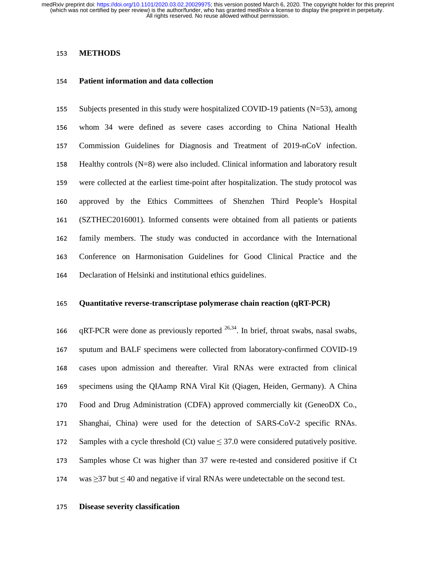# <sup>153</sup>**METHODS**

#### <sup>154</sup>**Patient information and data collection**

155 Subjects presented in this study were hospitalized COVID-19 patients ( $N=53$ ), among <sup>156</sup>whom 34 were defined as severe cases according to China National Health <sup>157</sup>Commission Guidelines for Diagnosis and Treatment of 2019-nCoV infection. 158 Healthy controls  $(N=8)$  were also included. Clinical information and laboratory result 159 were collected at the earliest time-point after hospitalization. The study protocol was <sup>160</sup>approved by the Ethics Committees of Shenzhen Third People's Hospital <sup>161</sup>(SZTHEC2016001). Informed consents were obtained from all patients or patients 162 family members. The study was conducted in accordance with the International <sup>163</sup>Conference on Harmonisation Guidelines for Good Clinical Practice and the 164 Declaration of Helsinki and institutional ethics guidelines.

#### <sup>165</sup>**Quantitative reverse-transcriptase polymerase chain reaction (qRT-PCR)**

166 gRT-PCR were done as previously reported  $^{26,34}$ . In brief, throat swabs, nasal swabs, 167 sputum and BALF specimens were collected from laboratory-confirmed COVID-19 168 cases upon admission and thereafter. Viral RNAs were extracted from clinical 169 specimens using the QIAamp RNA Viral Kit (Qiagen, Heiden, Germany). A China 170 Food and Drug Administration (CDFA) approved commercially kit (GeneoDX Co., <sup>171</sup>Shanghai, China) were used for the detection of SARS-CoV-2 specific RNAs. 172 Samples with a cycle threshold (Ct) value  $\leq$  37.0 were considered putatively positive. <sup>173</sup>Samples whose Ct was higher than 37 were re-tested and considered positive if Ct 174 was  $\geq$ 37 but  $\leq$  40 and negative if viral RNAs were undetectable on the second test.

#### <sup>175</sup>**Disease severity classification**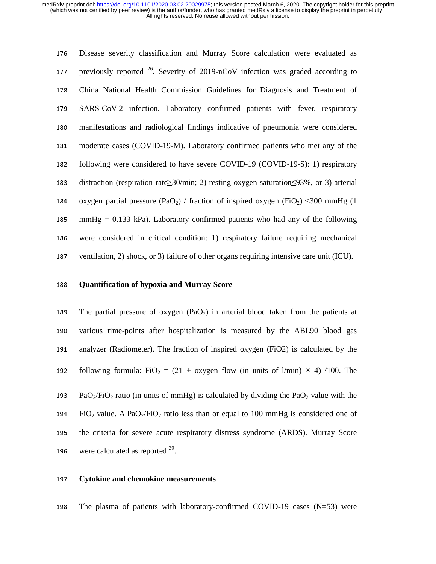<sup>176</sup>Disease severity classification and Murray Score calculation were evaluated as 177 previously reported  $26$ . Severity of 2019-nCoV infection was graded according to <sup>178</sup>China National Health Commission Guidelines for Diagnosis and Treatment of 179 SARS-CoV-2 infection. Laboratory confirmed patients with fever, respiratory <sup>180</sup>manifestations and radiological findings indicative of pneumonia were considered <sup>181</sup>moderate cases (COVID-19-M). Laboratory confirmed patients who met any of the 182 following were considered to have severe COVID-19 (COVID-19-S): 1) respiratory 183 distraction (respiration rate≥30/min; 2) resting oxygen saturation≤93%, or 3) arterial 184 oxygen partial pressure (PaO<sub>2</sub>) / fraction of inspired oxygen (FiO<sub>2</sub>)  $\leq$ 300 mmHg (1) 185 mmHg = 0.133 kPa). Laboratory confirmed patients who had any of the following 186 were considered in critical condition: 1) respiratory failure requiring mechanical 187 ventilation, 2) shock, or 3) failure of other organs requiring intensive care unit (ICU).

## <sup>188</sup>**Quantification of hypoxia and Murray Score**

189 The partial pressure of oxygen  $(PaO<sub>2</sub>)$  in arterial blood taken from the patients at 190 various time-points after hospitalization is measured by the ABL90 blood gas 191 analyzer (Radiometer). The fraction of inspired oxygen (FiO2) is calculated by the 192 following formula: FiO<sub>2</sub> = (21 + oxygen flow (in units of l/min)  $\times$  4) /100. The 193 PaO<sub>2</sub>/FiO<sub>2</sub> ratio (in units of mmHg) is calculated by dividing the PaO<sub>2</sub> value with the 194 FiO<sub>2</sub> value. A PaO<sub>2</sub>/FiO<sub>2</sub> ratio less than or equal to 100 mmHg is considered one of

195 the criteria for severe acute respiratory distress syndrome (ARDS). Murray Score

196 were calculated as reported  $39$ .

#### <sup>197</sup>**Cytokine and chemokine measurements**

198 The plasma of patients with laboratory-confirmed COVID-19 cases  $(N=53)$  were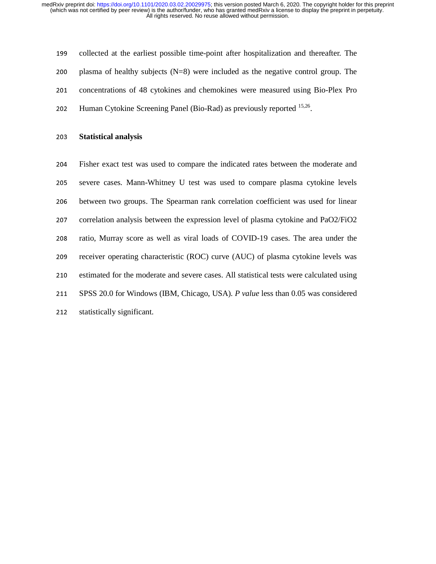199 collected at the earliest possible time-point after hospitalization and thereafter. The 200 plasma of healthy subjects  $(N=8)$  were included as the negative control group. The 201 concentrations of 48 cytokines and chemokines were measured using Bio-Plex Pro 202 Human Cytokine Screening Panel (Bio-Rad) as previously reported  $15,26$ .

## <sup>203</sup>**Statistical analysis**

<sup>204</sup>Fisher exact test was used to compare the indicated rates between the moderate and 205 severe cases. Mann-Whitney U test was used to compare plasma cytokine levels <sup>206</sup>between two groups. The Spearman rank correlation coefficient was used for linear 207 correlation analysis between the expression level of plasma cytokine and PaO2/FiO2 208 ratio, Murray score as well as viral loads of COVID-19 cases. The area under the 209 receiver operating characteristic (ROC) curve (AUC) of plasma cytokine levels was 210 estimated for the moderate and severe cases. All statistical tests were calculated using <sup>211</sup>SPSS 20.0 for Windows (IBM, Chicago, USA). *P value* less than 0.05 was considered 212 statistically significant.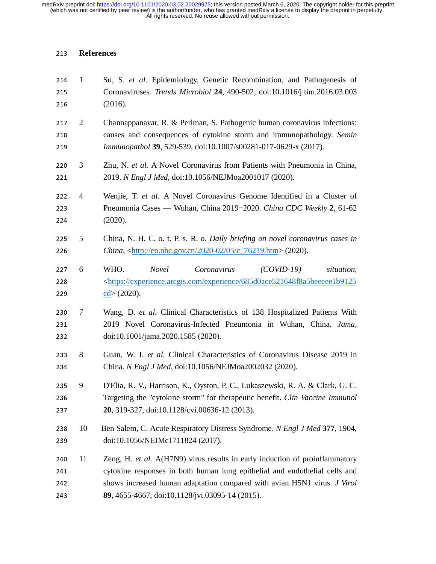# **References**

| 214<br>215<br>216        | $\mathbf{1}$   | Su, S. et al. Epidemiology, Genetic Recombination, and Pathogenesis of<br>Coronaviruses. Trends Microbiol 24, 490-502, doi:10.1016/j.tim.2016.03.003<br>(2016).                                                                                                                          |
|--------------------------|----------------|------------------------------------------------------------------------------------------------------------------------------------------------------------------------------------------------------------------------------------------------------------------------------------------|
| 217<br>218<br>219        | $\overline{2}$ | Channappanavar, R. & Perlman, S. Pathogenic human coronavirus infections:<br>causes and consequences of cytokine storm and immunopathology. Semin<br>Immunopathol 39, 529-539, doi:10.1007/s00281-017-0629-x (2017).                                                                     |
| 220<br>221               | 3              | Zhu, N. et al. A Novel Coronavirus from Patients with Pneumonia in China,<br>2019. N Engl J Med, doi:10.1056/NEJMoa2001017 (2020).                                                                                                                                                       |
| 222<br>223<br>224        | $\overline{4}$ | Wenjie, T. et al. A Novel Coronavirus Genome Identified in a Cluster of<br>Pneumonia Cases — Wuhan, China 2019-2020. China CDC Weekly 2, 61-62<br>(2020).                                                                                                                                |
| 225<br>226               | 5              | China, N. H. C. o. t. P. s. R. o. Daily briefing on novel coronavirus cases in<br>China, <http: 05="" 2020-02="" c_76219.htm="" en.nhc.gov.cn=""> (2020).</http:>                                                                                                                        |
| 227<br>228<br>229        | 6              | WHO.<br><b>Novel</b><br>Coronavirus<br>$(COVID-19)$<br>situation,<br><https: 685d0ace521648f8a5beeeee1b9125<br="" experience="" experience.arcgis.com=""><math>\text{cd}</math> (2020).</https:>                                                                                         |
| 230<br>231<br>232        | 7              | Wang, D. et al. Clinical Characteristics of 138 Hospitalized Patients With<br>2019 Novel Coronavirus-Infected Pneumonia in Wuhan, China. Jama,<br>doi:10.1001/jama.2020.1585 (2020).                                                                                                     |
| 233<br>234               | 8              | Guan, W. J. et al. Clinical Characteristics of Coronavirus Disease 2019 in<br>China. N Engl J Med, doi:10.1056/NEJMoa2002032 (2020).                                                                                                                                                     |
| 235<br>236<br>237        | 9              | D'Elia, R. V., Harrison, K., Oyston, P. C., Lukaszewski, R. A. & Clark, G. C.<br>Targeting the "cytokine storm" for therapeutic benefit. Clin Vaccine Immunol<br>20, 319-327, doi:10.1128/cvi.00636-12 (2013).                                                                           |
| 238<br>239               | 10             | Ben Salem, C. Acute Respiratory Distress Syndrome. N Engl J Med 377, 1904,<br>doi:10.1056/NEJMc1711824 (2017).                                                                                                                                                                           |
| 240<br>241<br>242<br>243 | 11             | Zeng, H. et al. A(H7N9) virus results in early induction of proinflammatory<br>cytokine responses in both human lung epithelial and endothelial cells and<br>shows increased human adaptation compared with avian H5N1 virus. J Virol<br>89, 4655-4667, doi:10.1128/jvi.03095-14 (2015). |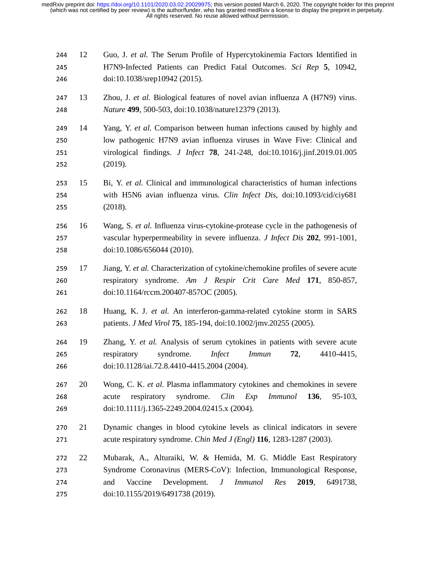| 244<br>245<br>246        | 12 | Guo, J. et al. The Serum Profile of Hypercytokinemia Factors Identified in<br>H7N9-Infected Patients can Predict Fatal Outcomes. Sci Rep 5, 10942,<br>doi:10.1038/srep10942 (2015).                                                                                        |
|--------------------------|----|----------------------------------------------------------------------------------------------------------------------------------------------------------------------------------------------------------------------------------------------------------------------------|
| 247<br>248               | 13 | Zhou, J. et al. Biological features of novel avian influenza A (H7N9) virus.<br>Nature 499, 500-503, doi:10.1038/nature12379 (2013).                                                                                                                                       |
| 249<br>250<br>251<br>252 | 14 | Yang, Y. et al. Comparison between human infections caused by highly and<br>low pathogenic H7N9 avian influenza viruses in Wave Five: Clinical and<br>virological findings. <i>J Infect</i> 78, 241-248, doi:10.1016/j.jinf.2019.01.005<br>(2019).                         |
| 253<br>254<br>255        | 15 | Bi, Y. et al. Clinical and immunological characteristics of human infections<br>with H5N6 avian influenza virus. Clin Infect Dis, doi:10.1093/cid/ciy681<br>(2018).                                                                                                        |
| 256<br>257<br>258        | 16 | Wang, S. et al. Influenza virus-cytokine-protease cycle in the pathogenesis of<br>vascular hyperpermeability in severe influenza. J Infect Dis 202, 991-1001,<br>doi:10.1086/656044 (2010).                                                                                |
| 259<br>260<br>261        | 17 | Jiang, Y. et al. Characterization of cytokine/chemokine profiles of severe acute<br>respiratory syndrome. Am J Respir Crit Care Med 171, 850-857,<br>doi:10.1164/rccm.200407-857OC (2005).                                                                                 |
| 262<br>263               | 18 | Huang, K. J. et al. An interferon-gamma-related cytokine storm in SARS<br>patients. <i>J Med Virol</i> <b>75</b> , 185-194, doi:10.1002/jmv.20255 (2005).                                                                                                                  |
| 264<br>265<br>266        | 19 | Zhang, Y. et al. Analysis of serum cytokines in patients with severe acute<br>syndrome.<br><i>Infect</i><br><i>Immun</i><br>respiratory<br>72,<br>4410-4415,<br>doi:10.1128/iai.72.8.4410-4415.2004 (2004).                                                                |
| 267<br>268<br>269        | 20 | Wong, C. K. et al. Plasma inflammatory cytokines and chemokines in severe<br>syndrome.<br>Clin<br>respiratory<br>Exp<br><i>Immunol</i><br>136,<br>acute<br>95-103,<br>doi:10.1111/j.1365-2249.2004.02415.x (2004).                                                         |
| 270<br>271               | 21 | Dynamic changes in blood cytokine levels as clinical indicators in severe<br>acute respiratory syndrome. Chin Med J (Engl) 116, 1283-1287 (2003).                                                                                                                          |
| 272<br>273<br>274<br>275 | 22 | Mubarak, A., Alturaiki, W. & Hemida, M. G. Middle East Respiratory<br>Syndrome Coronavirus (MERS-CoV): Infection, Immunological Response,<br>Vaccine<br>Development.<br><i>Immunol</i><br>Res<br>2019,<br>and<br>$J_{\rm}$<br>6491738,<br>doi:10.1155/2019/6491738 (2019). |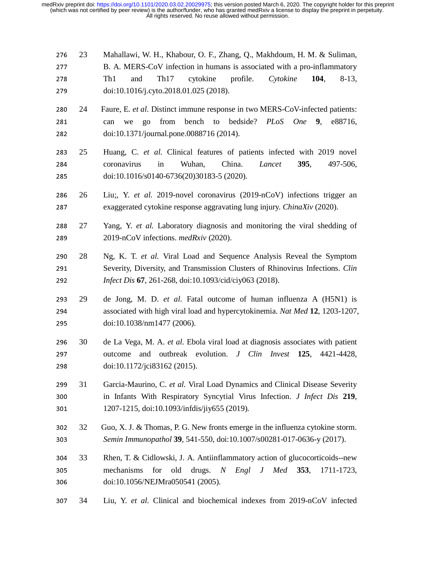276 23 Mahallawi, W. H., Khabour, O. F., Zhang, Q., Makhdoum, H. M. & Suliman, 277 B. A. MERS-CoV infection in humans is associated with a pro-inflammatory 277 B. A. MERS-CoV infection in humans is associated with a pro-inflammatory<br>278 Th1 and Th17 cytokine profile. Cytokine 104, 8-13, <sup>278</sup>Th1 and Th17 cytokine profile. *Cytokine* **<sup>104</sup>**, 8-13, <sup>279</sup>doi:10.1016/j.cyto.2018.01.025 (2018).

- 280 24 Faure, E. *et al.* Distinct immune response in two MERS-CoV-infected patients:<br>281 can we go from bench to bedside? *PLoS One* 9, e88716, 281 can we go from bench to bedside? *PLoS One* 9, e88716, <sup>282</sup>doi:10.1371/journal.pone.0088716 (2014).
- 283 25 Huang, C. *et al.* Clinical features of patients infected with 2019 novel<br>284 coronavirus in Wuhan, China. *Lancet* **395**, 497-506, <sup>284</sup>coronavirus in Wuhan, China. *Lancet* **<sup>395</sup>**, 497-506, <sup>285</sup>doi:10.1016/s0140-6736(20)30183-5 (2020).
- 286 26 Liu;, Y. *et al.* 2019-novel coronavirus (2019-nCoV) infections trigger an exaggerated cytokine response aggravating lung injury. *ChinaXiv* (2020). <sup>287</sup>exaggerated cytokine response aggravating lung injury. *ChinaXiv* (2020).
- 288 27 Yang, Y. *et al.* Laboratory diagnosis and monitoring the viral shedding of 2019-nCoV infections. *medRxiv* (2020). <sup>289</sup>2019-nCoV infections. *medRxiv* (2020).
- 290 28 Ng, K. T. *et al.* Viral Load and Sequence Analysis Reveal the Symptom<br>291 Severity. Diversity. and Transmission Clusters of Rhinovirus Infections. *Clin* 291 Severity, Diversity, and Transmission Clusters of Rhinovirus Infections. *Clin Infect Dis* 67, 261-268, doi:10.1093/cid/civ063 (2018). <sup>292</sup>*Infect Dis* **<sup>67</sup>**, 261-268, doi:10.1093/cid/ciy063 (2018).
- <sup>293</sup>29 de Jong, M. D. *et al.* Fatal outcome of human influenza A (H5N1) is 294 associated with high viral load and hypercytokinemia. *Nat Med* 12, 1203-1207,<br>295 doi:10.1038/nm1477 (2006). <sup>295</sup>doi:10.1038/nm1477 (2006).
- 296 30 de La Vega, M. A. *et al*. Ebola viral load at diagnosis associates with patient<br>297 outcome and outbreak evolution. *J Clin Invest* 125, 4421-4428, 297 outcome and outbreak evolution. *J Clin Invest* 125, 4421-4428, <br>298 doi:10.1172/ici83162 (2015). <sup>298</sup>doi:10.1172/jci83162 (2015).
- 299 31 Garcia-Maurino, C. *et al.* Viral Load Dynamics and Clinical Disease Severity<br>200 in Infants With Respiratory Syncytial Virus Infection. *J Infect Dis* 219. 300 in Infants With Respiratory Syncytial Virus Infection. *J Infect Dis* 219,<br>301 1207-1215, doi:10.1093/infdis/jiv655 (2019). <sup>301</sup>1207-1215, doi:10.1093/infdis/jiy655 (2019).
- 302 32 Guo, X. J. & Thomas, P. G. New fronts emerge in the influenza cytokine storm.<br>303 Semin Immunopathol 39, 541-550, doi:10.1007/s00281-017-0636-y (2017). <sup>303</sup>*Semin Immunopathol* **<sup>39</sup>**, 541-550, doi:10.1007/s00281-017-0636-y (2017).
- 304 33 Rhen, T. & Cidlowski, J. A. Antiinflammatory action of glucocorticoids--new<br>305 mechanisms for old drugs. N Engl J Med 353, 1711-1723, 305 mechanisms for old drugs. *N Engl J*<br>306 doi:10.1056/NEJMra050541 (2005). doi:10.1056/NEJMra050541 (2005).
- <sup>307</sup>34 Liu, Y. *et al.* Clinical and biochemical indexes from 2019-nCoV infected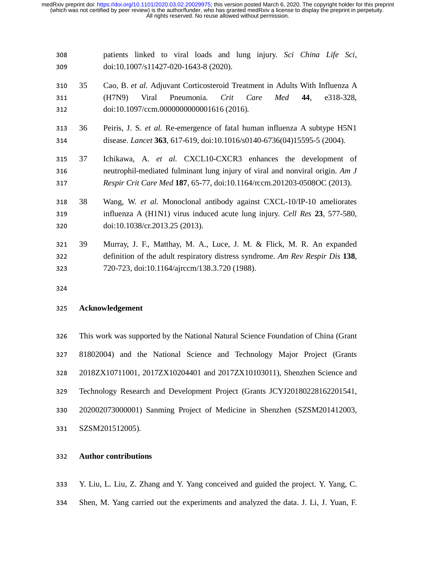| 308 |    | patients linked to viral loads and lung injury. Sci China Life Sci,            |  |  |  |  |  |
|-----|----|--------------------------------------------------------------------------------|--|--|--|--|--|
| 309 |    | doi:10.1007/s11427-020-1643-8 (2020).                                          |  |  |  |  |  |
| 310 | 35 | Cao, B. et al. Adjuvant Corticosteroid Treatment in Adults With Influenza A    |  |  |  |  |  |
| 311 |    | Viral<br>Pneumonia.<br>Crit Care<br>Med<br>(H7N9)<br>44,<br>e318-328,          |  |  |  |  |  |
| 312 |    | doi:10.1097/ccm.0000000000001616 (2016).                                       |  |  |  |  |  |
| 313 | 36 | Peiris, J. S. et al. Re-emergence of fatal human influenza A subtype H5N1      |  |  |  |  |  |
| 314 |    | disease. Lancet 363, 617-619, doi:10.1016/s0140-6736(04)15595-5 (2004).        |  |  |  |  |  |
| 315 | 37 | Ichikawa, A. et al. CXCL10-CXCR3 enhances the development of                   |  |  |  |  |  |
| 316 |    | neutrophil-mediated fulminant lung injury of viral and nonviral origin. Am J   |  |  |  |  |  |
| 317 |    | <i>Respir Crit Care Med</i> 187, 65-77, doi:10.1164/rccm.201203-0508OC (2013). |  |  |  |  |  |
| 318 | 38 | Wang, W. et al. Monoclonal antibody against CXCL-10/IP-10 ameliorates          |  |  |  |  |  |
| 319 |    | influenza A (H1N1) virus induced acute lung injury. Cell Res 23, 577-580,      |  |  |  |  |  |
| 320 |    | doi:10.1038/cr.2013.25 (2013).                                                 |  |  |  |  |  |
| 321 | 39 | Murray, J. F., Matthay, M. A., Luce, J. M. & Flick, M. R. An expanded          |  |  |  |  |  |
| 322 |    | definition of the adult respiratory distress syndrome. Am Rev Respir Dis 138,  |  |  |  |  |  |
| 323 |    | 720-723, doi:10.1164/ajrccm/138.3.720 (1988).                                  |  |  |  |  |  |

# **Acknowledgement**

326 This work was supported by the National Natural Science Foundation of China (Grant 81802004) and the National Science and Technology Major Project (Grants 2018ZX10711001, 2017ZX10204401 and 2017ZX10103011), Shenzhen Science and 329 Technology Research and Development Project (Grants JCYJ20180228162201541, 202002073000001) Sanming Project of Medicine in Shenzhen (SZSM201412003, 331 SZSM201512005).

# **Author contributions**

Y. Liu, L. Liu, Z. Zhang and Y. Yang conceived and guided the project. Y. Yang, C. 334 Shen, M. Yang carried out the experiments and analyzed the data. J. Li, J. Yuan, F.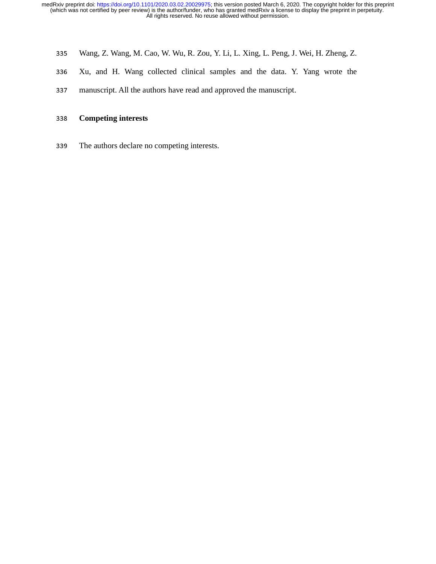- <sup>335</sup>Wang, Z. Wang, M. Cao, W. Wu, R. Zou, Y. Li, L. Xing, L. Peng, J. Wei, H. Zheng, Z.
- <sup>336</sup>Xu, and H. Wang collected clinical samples and the data. Y. Yang wrote the
- 337 manuscript. All the authors have read and approved the manuscript.

# <sup>338</sup>**Competing interests**

339 The authors declare no competing interests.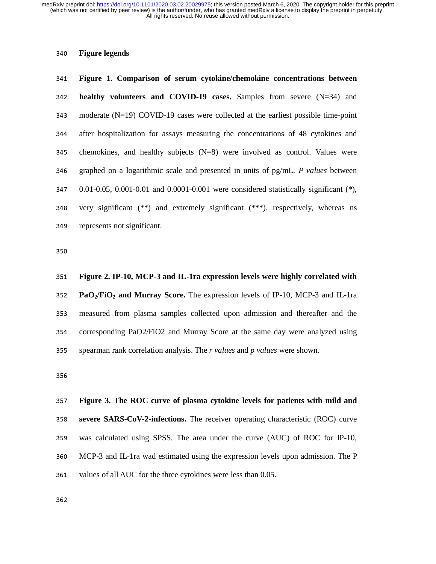# **Figure legends**

**Figure 1. Comparison of serum cytokine/chemokine concentrations between healthy volunteers and COVID-19 cases.** Samples from severe (N=34) and moderate  $(N=19)$  COVID-19 cases were collected at the earliest possible time-point after hospitalization for assays measuring the concentrations of 48 cytokines and chemokines, and healthy subjects  $(N=8)$  were involved as control. Values were graphed on a logarithmic scale and presented in units of pg/mL. *P values* between 347 0.01-0.05, 0.001-0.01 and 0.0001-0.001 were considered statistically significant  $(*),$ 348 very significant  $(**)$  and extremely significant  $(***)$ , respectively, whereas ns 349 represents not significant.

**Figure 2. IP-10, MCP-3 and IL-1ra expression levels were highly correlated with PaO2/FiO2 and Murray Score.** The expression levels of IP-10, MCP-3 and IL-1ra measured from plasma samples collected upon admission and thereafter and the 354 corresponding PaO2/FiO2 and Murray Score at the same day were analyzed using spearman rank correlation analysis. The *r values* and *p values* were shown.

**Figure 3. The ROC curve of plasma cytokine levels for patients with mild and severe SARS-CoV-2-infections.** The receiver operating characteristic (ROC) curve was calculated using SPSS. The area under the curve (AUC) of ROC for IP-10, MCP-3 and IL-1ra wad estimated using the expression levels upon admission. The P 361 values of all AUC for the three cytokines were less than 0.05.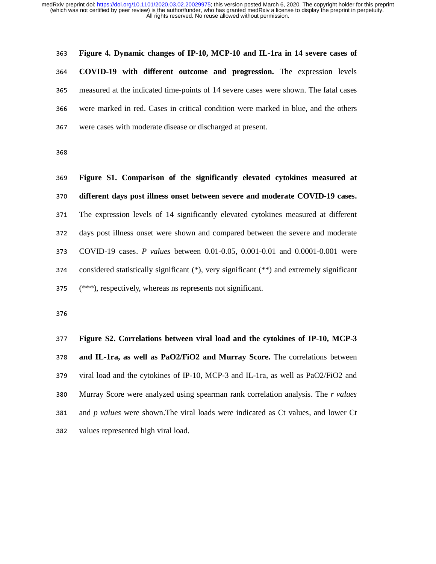**Figure 4. Dynamic changes of IP-10, MCP-10 and IL-1ra in 14 severe cases of COVID-19 with different outcome and progression.** The expression levels measured at the indicated time-points of 14 severe cases were shown. The fatal cases were marked in red. Cases in critical condition were marked in blue, and the others 367 were cases with moderate disease or discharged at present.

**Figure S1. Comparison of the significantly elevated cytokines measured at different days post illness onset between severe and moderate COVID-19 cases.**  371 The expression levels of 14 significantly elevated cytokines measured at different days post illness onset were shown and compared between the severe and moderate COVID-19 cases. *P values* between 0.01-0.05, 0.001-0.01 and 0.0001-0.001 were 374 considered statistically significant  $(*)$ , very significant  $(**)$  and extremely significant (\*\*\*), respectively, whereas ns represents not significant.

**Figure S2. Correlations between viral load and the cytokines of IP-10, MCP-3 and IL-1ra, as well as PaO2/FiO2 and Murray Score.** The correlations between 379 viral load and the cytokines of IP-10, MCP-3 and IL-1ra, as well as PaO2/FiO2 and Murray Score were analyzed using spearman rank correlation analysis. The *r values* 381 and *p values* were shown. The viral loads were indicated as Ct values, and lower Ct 382 values represented high viral load.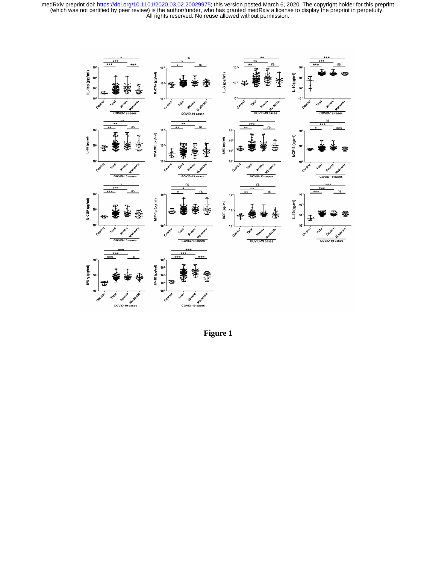

**Figure 1**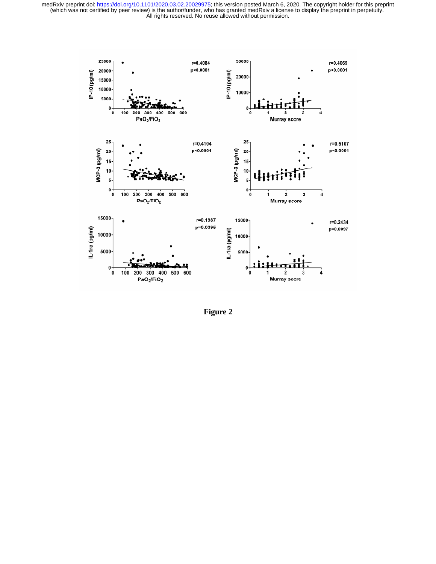

**Figure 2**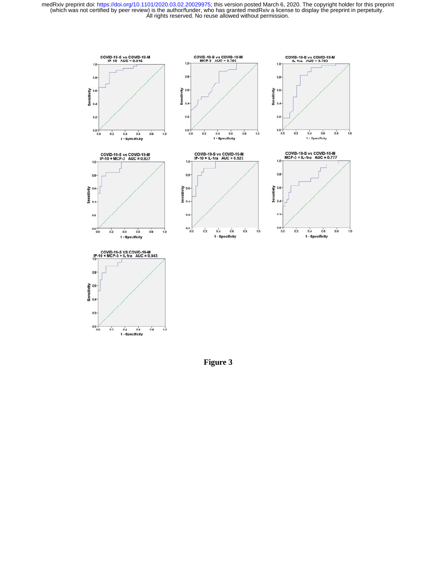

**Figure 3**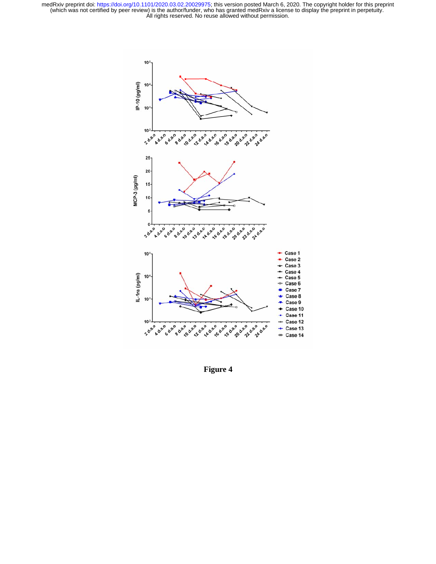

**Figure 4**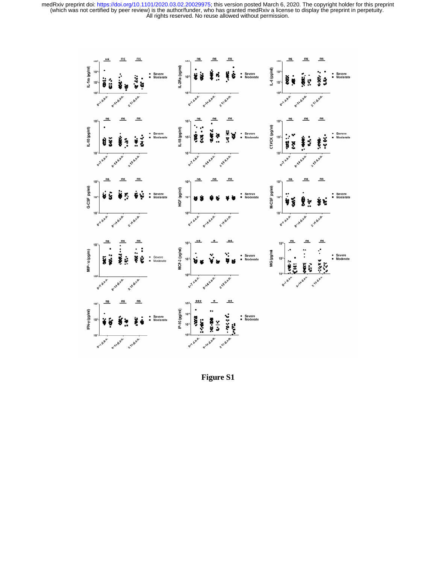

**Figure S1**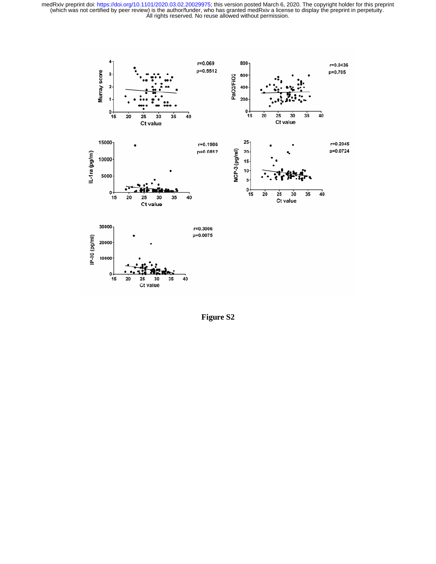

**Figure S2**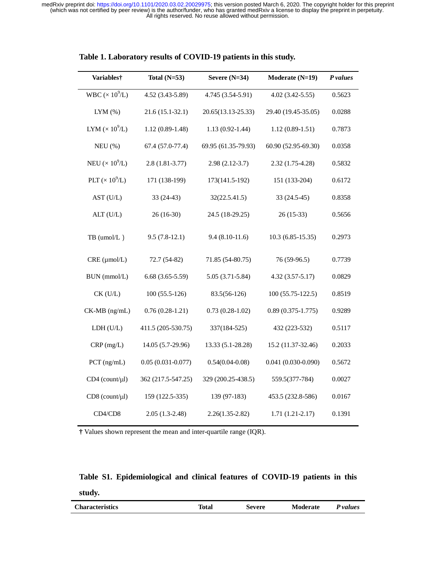| Variables†             | Total $(N=53)$        | Severe $(N=34)$     | Moderate (N=19)        | P values |
|------------------------|-----------------------|---------------------|------------------------|----------|
| WBC $(\times 10^9/L)$  | 4.52 (3.43-5.89)      | 4.745 (3.54-5.91)   | $4.02(3.42 - 5.55)$    | 0.5623   |
| $LYM$ $(\% )$          | $21.6(15.1-32.1)$     | 20.65(13.13-25.33)  | 29.40 (19.45-35.05)    | 0.0288   |
| LYM $(\times 10^9$ /L) | $1.12(0.89-1.48)$     | $1.13(0.92 - 1.44)$ | $1.12(0.89-1.51)$      | 0.7873   |
| $NEU$ $(\%)$           | 67.4 (57.0-77.4)      | 69.95 (61.35-79.93) | 60.90 (52.95-69.30)    | 0.0358   |
| NEU $(\times 10^9$ /L) | $2.8(1.81 - 3.77)$    | $2.98(2.12-3.7)$    | 2.32 (1.75-4.28)       | 0.5832   |
| PLT $(\times 10^9$ /L) | 171 (138-199)         | 173(141.5-192)      | 151 (133-204)          | 0.6172   |
| AST (U/L)              | 33 (24-43)            | 32(22.5.41.5)       | 33 (24.5-45)           | 0.8358   |
| ALT (U/L)              | 26 (16-30)            | 24.5 (18-29.25)     | $26(15-33)$            | 0.5656   |
| $TB$ (umol/L)          | $9.5(7.8-12.1)$       | $9.4(8.10-11.6)$    | $10.3(6.85-15.35)$     | 0.2973   |
| CRE (µmol/L)           | 72.7 (54-82)          | 71.85 (54-80.75)    | 76 (59-96.5)           | 0.7739   |
| BUN (mmol/L)           | $6.68(3.65-5.59)$     | $5.05(3.71-5.84)$   | $4.32(3.57 - 5.17)$    | 0.0829   |
| $CK$ (U/L)             | $100(55.5-126)$       | 83.5(56-126)        | $100(55.75 - 122.5)$   | 0.8519   |
| CK-MB (ng/mL)          | $0.76(0.28-1.21)$     | $0.73(0.28-1.02)$   | $0.89(0.375 - 1.775)$  | 0.9289   |
| LDH(U/L)               | 411.5 (205-530.75)    | 337(184-525)        | 432 (223-532)          | 0.5117   |
| CRP(mg/L)              | 14.05 (5.7-29.96)     | 13.33 (5.1-28.28)   | 15.2 (11.37-32.46)     | 0.2033   |
| $PCT$ (ng/mL)          | $0.05(0.031 - 0.077)$ | $0.54(0.04 - 0.08)$ | $0.041(0.030 - 0.090)$ | 0.5672   |
| $CD4$ (count/ $\mu$ l) | 362 (217.5-547.25)    | 329 (200.25-438.5)  | 559.5(377-784)         | 0.0027   |
| $CD8$ (count/ $\mu$ l) | 159 (122.5-335)       | 139 (97-183)        | 453.5 (232.8-586)      | 0.0167   |
| CD4/CD8                | $2.05(1.3-2.48)$      | $2.26(1.35-2.82)$   | $1.71(1.21-2.17)$      | 0.1391   |

| Table 1. Laboratory results of COVID-19 patients in this study. |  |  |
|-----------------------------------------------------------------|--|--|
|                                                                 |  |  |

**†** Values shown represent the mean and inter-quartile range (IQR).

# **Table S1. Epidemiological and clinical features of COVID-19 patients in this study.**

| <b>Characteristics</b> | ∼<br>Fotal | Severe | <b>Moderate</b> | P values |
|------------------------|------------|--------|-----------------|----------|
|                        |            |        |                 |          |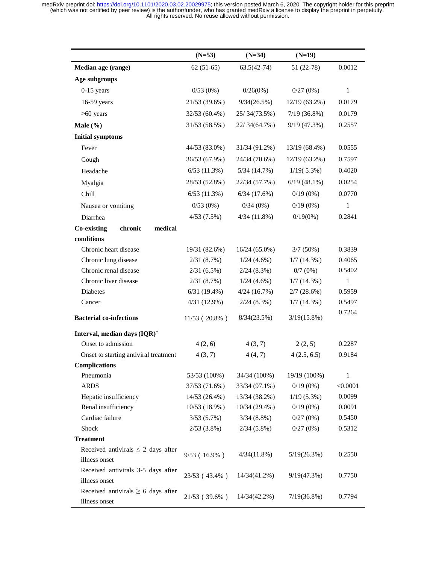|                                          | $(N=53)$       | $(N=34)$        | $(N=19)$        |                  |
|------------------------------------------|----------------|-----------------|-----------------|------------------|
| Median age (range)                       | $62(51-65)$    | $63.5(42-74)$   | $51(22-78)$     | 0.0012           |
| Age subgroups                            |                |                 |                 |                  |
| $0-15$ years                             | 0/53(0%)       | $0/26(0\%)$     | 0/27(0%)        | $\mathbf{1}$     |
| 16-59 years                              | 21/53 (39.6%)  | 9/34(26.5%)     | $12/19(63.2\%)$ | 0.0179           |
| $\geq 60$ years                          | 32/53 (60.4%)  | 25/34(73.5%)    | $7/19(36.8\%)$  | 0.0179           |
| Male $(\% )$                             | 31/53 (58.5%)  | 22/34(64.7%)    | 9/19(47.3%)     | 0.2557           |
| <b>Initial symptoms</b>                  |                |                 |                 |                  |
| Fever                                    | 44/53 (83.0%)  | 31/34 (91.2%)   | 13/19 (68.4%)   | 0.0555           |
| Cough                                    | 36/53 (67.9%)  | 24/34 (70.6%)   | $12/19(63.2\%)$ | 0.7597           |
| Headache                                 | $6/53$ (11.3%) | 5/34(14.7%)     | $1/19(5.3\%)$   | 0.4020           |
|                                          |                |                 |                 |                  |
| Myalgia                                  | 28/53 (52.8%)  | 22/34 (57.7%)   | $6/19(48.1\%)$  | 0.0254           |
| Chill                                    | 6/53(11.3%)    | 6/34(17.6%)     | $0/19(0\%)$     | 0.0770           |
| Nausea or vomiting                       | 0/53(0%)       | 0/34(0%)        | $0/19(0\%)$     | 1                |
| Diarrhea                                 | 4/53(7.5%)     | 4/34(11.8%)     | $0/19(0\%)$     | 0.2841           |
| <b>Co-existing</b><br>chronic<br>medical |                |                 |                 |                  |
| conditions                               |                |                 |                 |                  |
| Chronic heart disease                    | 19/31 (82.6%)  | $16/24(65.0\%)$ | $3/7(50\%)$     | 0.3839           |
| Chronic lung disease                     | 2/31(8.7%)     | $1/24$ (4.6%)   | 1/7(14.3%)      | 0.4065           |
| Chronic renal disease                    | 2/31(6.5%)     | 2/24(8.3%)      | $0/7(0\%)$      | 0.5402           |
| Chronic liver disease                    | 2/31(8.7%)     | $1/24(4.6\%)$   | 1/7(14.3%)      | 1                |
| Diabetes                                 | 6/31(19.4%)    | 4/24(16.7%)     | $2/7(28.6\%)$   | 0.5959           |
| Cancer                                   | 4/31 (12.9%)   | 2/24(8.3%)      | 1/7(14.3%)      | 0.5497<br>0.7264 |
| <b>Bacterial co-infections</b>           | 11/53 (20.8%)  | 8/34(23.5%)     | $3/19(15.8\%)$  |                  |
| Interval, median days (IQR) <sup>+</sup> |                |                 |                 |                  |
| Onset to admission                       | 4(2, 6)        | 4(3, 7)         | 2(2, 5)         | 0.2287           |
| Onset to starting antiviral treatment    | 4(3, 7)        | 4(4,7)          | 4(2.5, 6.5)     | 0.9184           |
| Complications                            |                |                 |                 |                  |
| Pneumonia                                | 53/53 (100%)   | 34/34 (100%)    | 19/19 (100%)    | 1                |
| <b>ARDS</b>                              | 37/53 (71.6%)  | 33/34 (97.1%)   | $0/19(0\%)$     | < 0.0001         |
| Hepatic insufficiency                    | 14/53 (26.4%)  | 13/34 (38.2%)   | $1/19(5.3\%)$   | 0.0099           |
| Renal insufficiency                      | 10/53 (18.9%)  | $10/34(29.4\%)$ | $0/19(0\%)$     | 0.0091           |
| Cardiac failure                          | 3/53(5.7%)     | $3/34(8.8\%)$   | 0/27(0%)        | 0.5450           |
| Shock                                    | 2/53(3.8%)     | $2/34(5.8\%)$   | 0/27(0%)        | 0.5312           |
| <b>Treatment</b>                         |                |                 |                 |                  |
| Received antivirals $\leq$ 2 days after  | 9/53 (16.9%)   | 4/34(11.8%)     | 5/19(26.3%)     | 0.2550           |
| illness onset                            |                |                 |                 |                  |
| Received antivirals 3-5 days after       | 23/53 (43.4%)  | 14/34(41.2%)    | 9/19(47.3%)     | 0.7750           |
| illness onset                            |                |                 |                 |                  |
| Received antivirals $\geq 6$ days after  | 21/53 (39.6%)  | 14/34(42.2%)    | $7/19(36.8\%)$  | 0.7794           |
| illness onset                            |                |                 |                 |                  |